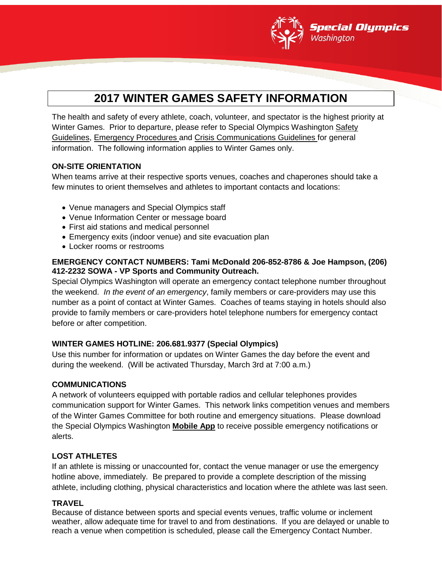

# **2017 WINTER GAMES SAFETY INFORMATION**

The health and safety of every athlete, coach, volunteer, and spectator is the highest priority at Winter Games. Prior to departure, please refer to Special Olympics Washington Safety Guidelines, Emergency Procedures and Crisis Communications Guidelines for general information. The following information applies to Winter Games only.

## **ON-SITE ORIENTATION**

When teams arrive at their respective sports venues, coaches and chaperones should take a few minutes to orient themselves and athletes to important contacts and locations:

- Venue managers and Special Olympics staff
- Venue Information Center or message board
- First aid stations and medical personnel
- Emergency exits (indoor venue) and site evacuation plan
- Locker rooms or restrooms

## **EMERGENCY CONTACT NUMBERS: Tami McDonald 206-852-8786 & Joe Hampson, (206) 412-2232 SOWA - VP Sports and Community Outreach.**

Special Olympics Washington will operate an emergency contact telephone number throughout the weekend. *In the event of an emergency*, family members or care-providers may use this number as a point of contact at Winter Games. Coaches of teams staying in hotels should also provide to family members or care-providers hotel telephone numbers for emergency contact before or after competition.

#### **WINTER GAMES HOTLINE: 206.681.9377 (Special Olympics)**

Use this number for information or updates on Winter Games the day before the event and during the weekend. (Will be activated Thursday, March 3rd at 7:00 a.m.)

#### **COMMUNICATIONS**

A network of volunteers equipped with portable radios and cellular telephones provides communication support for Winter Games. This network links competition venues and members of the Winter Games Committee for both routine and emergency situations. Please download the Special Olympics Washington **Mobile App** to receive possible emergency notifications or alerts.

## **LOST ATHLETES**

If an athlete is missing or unaccounted for, contact the venue manager or use the emergency hotline above, immediately. Be prepared to provide a complete description of the missing athlete, including clothing, physical characteristics and location where the athlete was last seen.

#### **TRAVEL**

Because of distance between sports and special events venues, traffic volume or inclement weather, allow adequate time for travel to and from destinations. If you are delayed or unable to reach a venue when competition is scheduled, please call the Emergency Contact Number.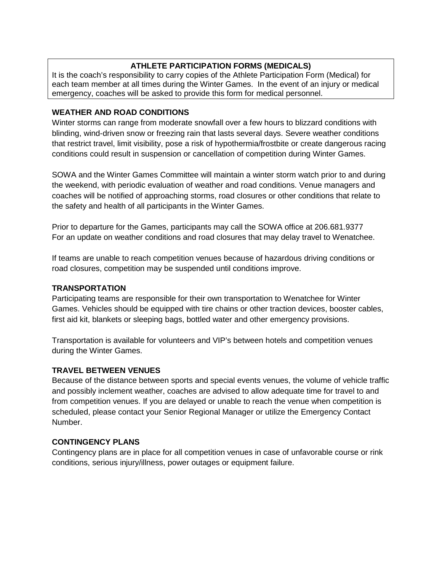## **ATHLETE PARTICIPATION FORMS (MEDICALS)**

It is the coach's responsibility to carry copies of the Athlete Participation Form (Medical) for each team member at all times during the Winter Games. In the event of an injury or medical emergency, coaches will be asked to provide this form for medical personnel.

## **WEATHER AND ROAD CONDITIONS**

Winter storms can range from moderate snowfall over a few hours to blizzard conditions with blinding, wind-driven snow or freezing rain that lasts several days. Severe weather conditions that restrict travel, limit visibility, pose a risk of hypothermia/frostbite or create dangerous racing conditions could result in suspension or cancellation of competition during Winter Games.

SOWA and the Winter Games Committee will maintain a winter storm watch prior to and during the weekend, with periodic evaluation of weather and road conditions. Venue managers and coaches will be notified of approaching storms, road closures or other conditions that relate to the safety and health of all participants in the Winter Games.

Prior to departure for the Games, participants may call the SOWA office at 206.681.9377 For an update on weather conditions and road closures that may delay travel to Wenatchee.

If teams are unable to reach competition venues because of hazardous driving conditions or road closures, competition may be suspended until conditions improve.

#### **TRANSPORTATION**

Participating teams are responsible for their own transportation to Wenatchee for Winter Games. Vehicles should be equipped with tire chains or other traction devices, booster cables, first aid kit, blankets or sleeping bags, bottled water and other emergency provisions.

Transportation is available for volunteers and VIP's between hotels and competition venues during the Winter Games.

## **TRAVEL BETWEEN VENUES**

Because of the distance between sports and special events venues, the volume of vehicle traffic and possibly inclement weather, coaches are advised to allow adequate time for travel to and from competition venues. If you are delayed or unable to reach the venue when competition is scheduled, please contact your Senior Regional Manager or utilize the Emergency Contact Number.

## **CONTINGENCY PLANS**

Contingency plans are in place for all competition venues in case of unfavorable course or rink conditions, serious injury/illness, power outages or equipment failure.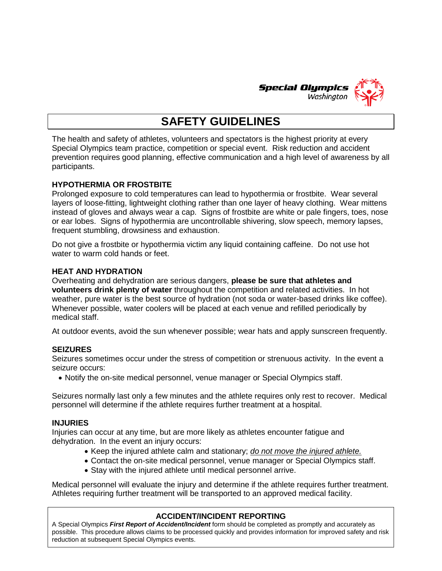

# **SAFETY GUIDELINES**

The health and safety of athletes, volunteers and spectators is the highest priority at every Special Olympics team practice, competition or special event. Risk reduction and accident prevention requires good planning, effective communication and a high level of awareness by all participants.

#### **HYPOTHERMIA OR FROSTBITE**

Prolonged exposure to cold temperatures can lead to hypothermia or frostbite. Wear several layers of loose-fitting, lightweight clothing rather than one layer of heavy clothing. Wear mittens instead of gloves and always wear a cap. Signs of frostbite are white or pale fingers, toes, nose or ear lobes. Signs of hypothermia are uncontrollable shivering, slow speech, memory lapses, frequent stumbling, drowsiness and exhaustion.

Do not give a frostbite or hypothermia victim any liquid containing caffeine. Do not use hot water to warm cold hands or feet.

#### **HEAT AND HYDRATION**

Overheating and dehydration are serious dangers, **please be sure that athletes and volunteers drink plenty of water** throughout the competition and related activities. In hot weather, pure water is the best source of hydration (not soda or water-based drinks like coffee). Whenever possible, water coolers will be placed at each venue and refilled periodically by medical staff.

At outdoor events, avoid the sun whenever possible; wear hats and apply sunscreen frequently.

#### **SEIZURES**

Seizures sometimes occur under the stress of competition or strenuous activity. In the event a seizure occurs:

• Notify the on-site medical personnel, venue manager or Special Olympics staff.

Seizures normally last only a few minutes and the athlete requires only rest to recover. Medical personnel will determine if the athlete requires further treatment at a hospital.

#### **INJURIES**

Injuries can occur at any time, but are more likely as athletes encounter fatigue and dehydration. In the event an injury occurs:

- Keep the injured athlete calm and stationary; *do not move the injured athlete.*
- Contact the on-site medical personnel, venue manager or Special Olympics staff.
- Stay with the injured athlete until medical personnel arrive.

Medical personnel will evaluate the injury and determine if the athlete requires further treatment. Athletes requiring further treatment will be transported to an approved medical facility.

#### **ACCIDENT/INCIDENT REPORTING**

A Special Olympics *First Report of Accident/Incident* form should be completed as promptly and accurately as possible. This procedure allows claims to be processed quickly and provides information for improved safety and risk reduction at subsequent Special Olympics events.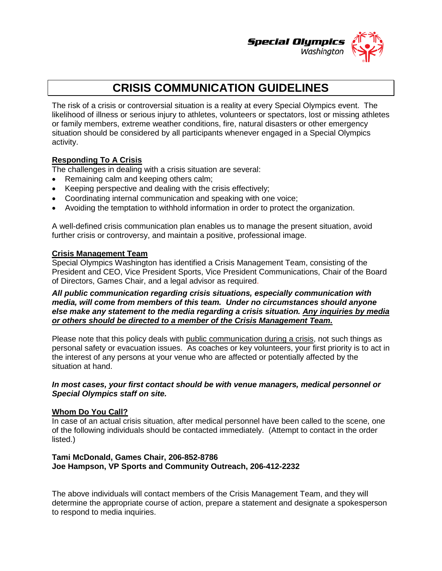

## **CRISIS COMMUNICATION GUIDELINES**

The risk of a crisis or controversial situation is a reality at every Special Olympics event. The likelihood of illness or serious injury to athletes, volunteers or spectators, lost or missing athletes or family members, extreme weather conditions, fire, natural disasters or other emergency situation should be considered by all participants whenever engaged in a Special Olympics activity.

## **Responding To A Crisis**

The challenges in dealing with a crisis situation are several:

- Remaining calm and keeping others calm;
- Keeping perspective and dealing with the crisis effectively;
- Coordinating internal communication and speaking with one voice;
- Avoiding the temptation to withhold information in order to protect the organization.

A well-defined crisis communication plan enables us to manage the present situation, avoid further crisis or controversy, and maintain a positive, professional image.

#### **Crisis Management Team**

Special Olympics Washington has identified a Crisis Management Team, consisting of the President and CEO, Vice President Sports, Vice President Communications, Chair of the Board of Directors, Games Chair, and a legal advisor as required.

#### *All public communication regarding crisis situations, especially communication with media, will come from members of this team. Under no circumstances should anyone else make any statement to the media regarding a crisis situation. Any inquiries by media or others should be directed to a member of the Crisis Management Team.*

Please note that this policy deals with public communication during a crisis, not such things as personal safety or evacuation issues. As coaches or key volunteers, your first priority is to act in the interest of any persons at your venue who are affected or potentially affected by the situation at hand.

#### *In most cases, your first contact should be with venue managers, medical personnel or Special Olympics staff on site.*

#### **Whom Do You Call?**

In case of an actual crisis situation, after medical personnel have been called to the scene, one of the following individuals should be contacted immediately. (Attempt to contact in the order listed.)

#### **Tami McDonald, Games Chair, 206-852-8786 Joe Hampson, VP Sports and Community Outreach, 206-412-2232**

The above individuals will contact members of the Crisis Management Team, and they will determine the appropriate course of action, prepare a statement and designate a spokesperson to respond to media inquiries.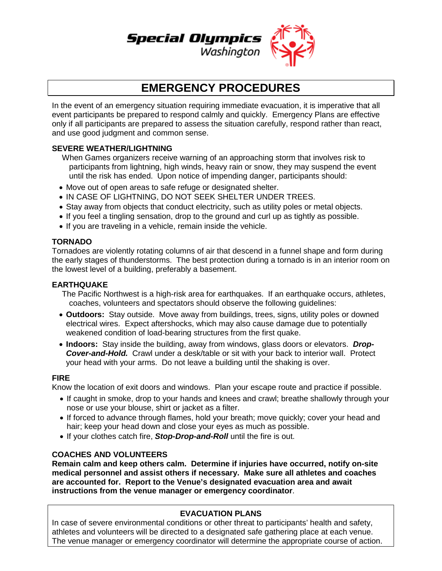

## **EMERGENCY PROCEDURES**

In the event of an emergency situation requiring immediate evacuation, it is imperative that all event participants be prepared to respond calmly and quickly. Emergency Plans are effective only if all participants are prepared to assess the situation carefully, respond rather than react, and use good judgment and common sense.

#### **SEVERE WEATHER/LIGHTNING**

When Games organizers receive warning of an approaching storm that involves risk to participants from lightning, high winds, heavy rain or snow, they may suspend the event until the risk has ended. Upon notice of impending danger, participants should:

- Move out of open areas to safe refuge or designated shelter.
- IN CASE OF LIGHTNING, DO NOT SEEK SHELTER UNDER TREES.
- Stay away from objects that conduct electricity, such as utility poles or metal objects.
- If you feel a tingling sensation, drop to the ground and curl up as tightly as possible.
- If you are traveling in a vehicle, remain inside the vehicle.

#### **TORNADO**

Tornadoes are violently rotating columns of air that descend in a funnel shape and form during the early stages of thunderstorms. The best protection during a tornado is in an interior room on the lowest level of a building, preferably a basement.

#### **EARTHQUAKE**

- The Pacific Northwest is a high-risk area for earthquakes. If an earthquake occurs, athletes, coaches, volunteers and spectators should observe the following guidelines:
- **Outdoors:** Stay outside. Move away from buildings, trees, signs, utility poles or downed electrical wires. Expect aftershocks, which may also cause damage due to potentially weakened condition of load-bearing structures from the first quake.
- **Indoors:** Stay inside the building, away from windows, glass doors or elevators. *Drop-Cover-and-Hold.*Crawl under a desk/table or sit with your back to interior wall. Protect your head with your arms. Do not leave a building until the shaking is over.

#### **FIRE**

Know the location of exit doors and windows. Plan your escape route and practice if possible.

- If caught in smoke, drop to your hands and knees and crawl; breathe shallowly through your nose or use your blouse, shirt or jacket as a filter.
- If forced to advance through flames, hold your breath; move quickly; cover your head and hair; keep your head down and close your eyes as much as possible.
- If your clothes catch fire, *Stop-Drop-and-Roll* until the fire is out.

#### **COACHES AND VOLUNTEERS**

**Remain calm and keep others calm. Determine if injuries have occurred, notify on-site medical personnel and assist others if necessary. Make sure all athletes and coaches are accounted for. Report to the Venue's designated evacuation area and await instructions from the venue manager or emergency coordinator**.

## **EVACUATION PLANS**

In case of severe environmental conditions or other threat to participants' health and safety, athletes and volunteers will be directed to a designated safe gathering place at each venue. The venue manager or emergency coordinator will determine the appropriate course of action.